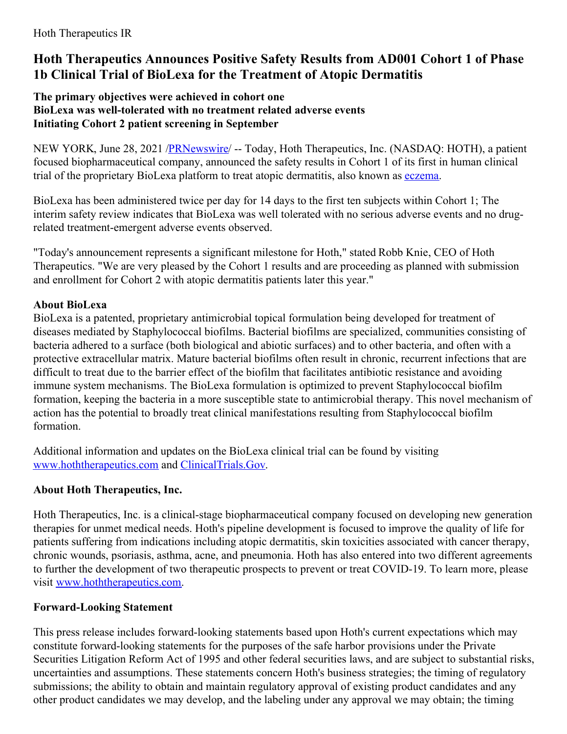# **Hoth Therapeutics Announces Positive Safety Results from AD001 Cohort 1 of Phase 1b Clinical Trial of BioLexa for the Treatment of Atopic Dermatitis**

### **The primary objectives were achieved in cohort one BioLexa was well-tolerated with no treatment related adverse events Initiating Cohort 2 patient screening in September**

NEW YORK, June 28, 2021 /**PRNewswire/** -- Today, Hoth Therapeutics, Inc. (NASDAQ: HOTH), a patient focused biopharmaceutical company, announced the safety results in Cohort 1 of its first in human clinical trial of the proprietary BioLexa platform to treat atopic dermatitis, also known as [eczema](https://c212.net/c/link/?t=0&l=en&o=3210456-1&h=425781191&u=https%3A%2F%2Fir.hoththerapeutics.com%2Fbiolexa-platform&a=eczema).

BioLexa has been administered twice per day for 14 days to the first ten subjects within Cohort 1; The interim safety review indicates that BioLexa was well tolerated with no serious adverse events and no drugrelated treatment-emergent adverse events observed.

"Today's announcement represents a significant milestone for Hoth," stated Robb Knie, CEO of Hoth Therapeutics. "We are very pleased by the Cohort 1 results and are proceeding as planned with submission and enrollment for Cohort 2 with atopic dermatitis patients later this year."

# **About BioLexa**

BioLexa is a patented, proprietary antimicrobial topical formulation being developed for treatment of diseases mediated by Staphylococcal biofilms. Bacterial biofilms are specialized, communities consisting of bacteria adhered to a surface (both biological and abiotic surfaces) and to other bacteria, and often with a protective extracellular matrix. Mature bacterial biofilms often result in chronic, recurrent infections that are difficult to treat due to the barrier effect of the biofilm that facilitates antibiotic resistance and avoiding immune system mechanisms. The BioLexa formulation is optimized to prevent Staphylococcal biofilm formation, keeping the bacteria in a more susceptible state to antimicrobial therapy. This novel mechanism of action has the potential to broadly treat clinical manifestations resulting from Staphylococcal biofilm formation.

Additional information and updates on the BioLexa clinical trial can be found by visiting [www.hoththerapeutics.com](https://c212.net/c/link/?t=0&l=en&o=3210456-1&h=2117920446&u=http%3A%2F%2Fwww.hoththerapeutics.com%2F&a=www.hoththerapeutics.com) and [ClinicalTrials.Gov](https://c212.net/c/link/?t=0&l=en&o=3210456-1&h=4203907517&u=https%3A%2F%2Fclinicaltrials.gov%2F&a=ClinicalTrials.Gov).

# **About Hoth Therapeutics, Inc.**

Hoth Therapeutics, Inc. is a clinical-stage biopharmaceutical company focused on developing new generation therapies for unmet medical needs. Hoth's pipeline development is focused to improve the quality of life for patients suffering from indications including atopic dermatitis, skin toxicities associated with cancer therapy, chronic wounds, psoriasis, asthma, acne, and pneumonia. Hoth has also entered into two different agreements to further the development of two therapeutic prospects to prevent or treat COVID-19. To learn more, please visit [www.hoththerapeutics.com](https://c212.net/c/link/?t=0&l=en&o=3210456-1&h=2117920446&u=http%3A%2F%2Fwww.hoththerapeutics.com%2F&a=www.hoththerapeutics.com).

### **Forward-Looking Statement**

This press release includes forward-looking statements based upon Hoth's current expectations which may constitute forward-looking statements for the purposes of the safe harbor provisions under the Private Securities Litigation Reform Act of 1995 and other federal securities laws, and are subject to substantial risks, uncertainties and assumptions. These statements concern Hoth's business strategies; the timing of regulatory submissions; the ability to obtain and maintain regulatory approval of existing product candidates and any other product candidates we may develop, and the labeling under any approval we may obtain; the timing